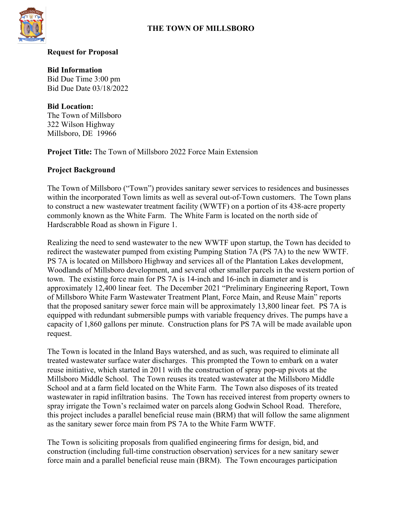

#### **Request for Proposal**

**Bid Information** Bid Due Time 3:00 pm Bid Due Date 03/18/2022

**Bid Location:** The Town of Millsboro 322 Wilson Highway Millsboro, DE 19966

**Project Title:** The Town of Millsboro 2022 Force Main Extension

#### **Project Background**

The Town of Millsboro ("Town") provides sanitary sewer services to residences and businesses within the incorporated Town limits as well as several out-of-Town customers. The Town plans to construct a new wastewater treatment facility (WWTF) on a portion of its 438-acre property commonly known as the White Farm. The White Farm is located on the north side of Hardscrabble Road as shown in Figure 1.

Realizing the need to send wastewater to the new WWTF upon startup, the Town has decided to redirect the wastewater pumped from existing Pumping Station 7A (PS 7A) to the new WWTF. PS 7A is located on Millsboro Highway and services all of the Plantation Lakes development, Woodlands of Millsboro development, and several other smaller parcels in the western portion of town. The existing force main for PS 7A is 14-inch and 16-inch in diameter and is approximately 12,400 linear feet. The December 2021 "Preliminary Engineering Report, Town of Millsboro White Farm Wastewater Treatment Plant, Force Main, and Reuse Main" reports that the proposed sanitary sewer force main will be approximately 13,800 linear feet. PS 7A is equipped with redundant submersible pumps with variable frequency drives. The pumps have a capacity of 1,860 gallons per minute. Construction plans for PS 7A will be made available upon request.

The Town is located in the Inland Bays watershed, and as such, was required to eliminate all treated wastewater surface water discharges. This prompted the Town to embark on a water reuse initiative, which started in 2011 with the construction of spray pop-up pivots at the Millsboro Middle School. The Town reuses its treated wastewater at the Millsboro Middle School and at a farm field located on the White Farm. The Town also disposes of its treated wastewater in rapid infiltration basins. The Town has received interest from property owners to spray irrigate the Town's reclaimed water on parcels along Godwin School Road. Therefore, this project includes a parallel beneficial reuse main (BRM) that will follow the same alignment as the sanitary sewer force main from PS 7A to the White Farm WWTF.

The Town is soliciting proposals from qualified engineering firms for design, bid, and construction (including full-time construction observation) services for a new sanitary sewer force main and a parallel beneficial reuse main (BRM). The Town encourages participation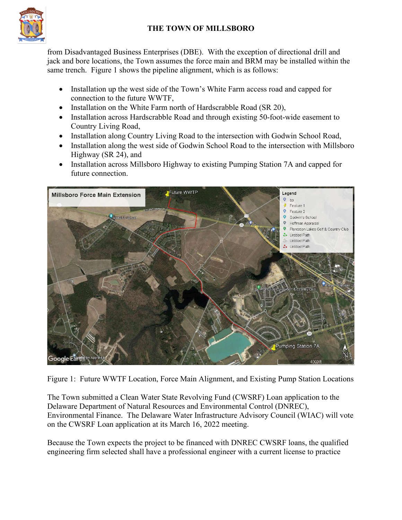

from Disadvantaged Business Enterprises (DBE). With the exception of directional drill and jack and bore locations, the Town assumes the force main and BRM may be installed within the same trench. Figure 1 shows the pipeline alignment, which is as follows:

- Installation up the west side of the Town's White Farm access road and capped for connection to the future WWTF,
- Installation on the White Farm north of Hardscrabble Road (SR 20),
- Installation across Hardscrabble Road and through existing 50-foot-wide easement to Country Living Road,
- Installation along Country Living Road to the intersection with Godwin School Road,
- Installation along the west side of Godwin School Road to the intersection with Millsboro Highway (SR 24), and
- Installation across Millsboro Highway to existing Pumping Station 7A and capped for future connection.



Figure 1: Future WWTF Location, Force Main Alignment, and Existing Pump Station Locations

The Town submitted a Clean Water State Revolving Fund (CWSRF) Loan application to the Delaware Department of Natural Resources and Environmental Control (DNREC), Environmental Finance. The Delaware Water Infrastructure Advisory Council (WIAC) will vote on the CWSRF Loan application at its March 16, 2022 meeting.

Because the Town expects the project to be financed with DNREC CWSRF loans, the qualified engineering firm selected shall have a professional engineer with a current license to practice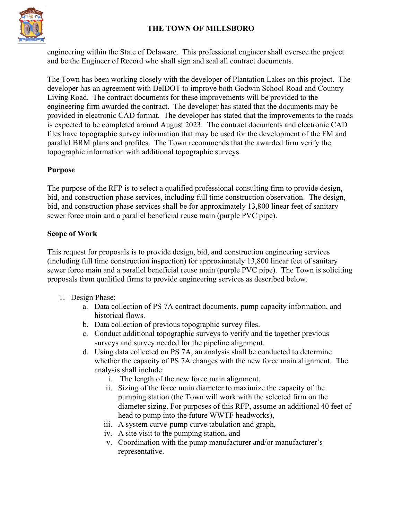

engineering within the State of Delaware. This professional engineer shall oversee the project and be the Engineer of Record who shall sign and seal all contract documents.

The Town has been working closely with the developer of Plantation Lakes on this project. The developer has an agreement with DelDOT to improve both Godwin School Road and Country Living Road. The contract documents for these improvements will be provided to the engineering firm awarded the contract. The developer has stated that the documents may be provided in electronic CAD format. The developer has stated that the improvements to the roads is expected to be completed around August 2023. The contract documents and electronic CAD files have topographic survey information that may be used for the development of the FM and parallel BRM plans and profiles. The Town recommends that the awarded firm verify the topographic information with additional topographic surveys.

## **Purpose**

The purpose of the RFP is to select a qualified professional consulting firm to provide design, bid, and construction phase services, including full time construction observation. The design, bid, and construction phase services shall be for approximately 13,800 linear feet of sanitary sewer force main and a parallel beneficial reuse main (purple PVC pipe).

#### **Scope of Work**

This request for proposals is to provide design, bid, and construction engineering services (including full time construction inspection) for approximately 13,800 linear feet of sanitary sewer force main and a parallel beneficial reuse main (purple PVC pipe). The Town is soliciting proposals from qualified firms to provide engineering services as described below.

- 1. Design Phase:
	- a. Data collection of PS 7A contract documents, pump capacity information, and historical flows.
	- b. Data collection of previous topographic survey files.
	- c. Conduct additional topographic surveys to verify and tie together previous surveys and survey needed for the pipeline alignment.
	- d. Using data collected on PS 7A, an analysis shall be conducted to determine whether the capacity of PS 7A changes with the new force main alignment. The analysis shall include:
		- i. The length of the new force main alignment,
		- ii. Sizing of the force main diameter to maximize the capacity of the pumping station (the Town will work with the selected firm on the diameter sizing. For purposes of this RFP, assume an additional 40 feet of head to pump into the future WWTF headworks),
		- iii. A system curve-pump curve tabulation and graph,
		- iv. A site visit to the pumping station, and
		- v. Coordination with the pump manufacturer and/or manufacturer's representative.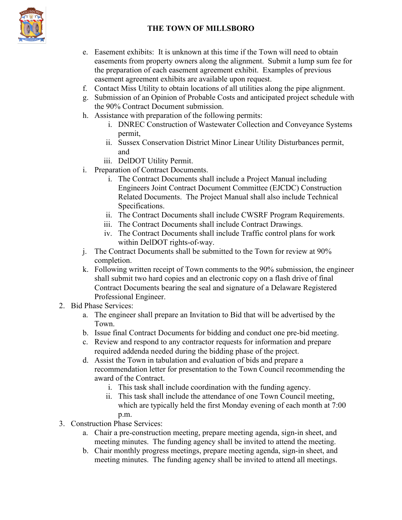

- e. Easement exhibits: It is unknown at this time if the Town will need to obtain easements from property owners along the alignment. Submit a lump sum fee for the preparation of each easement agreement exhibit. Examples of previous easement agreement exhibits are available upon request.
- f. Contact Miss Utility to obtain locations of all utilities along the pipe alignment.
- g. Submission of an Opinion of Probable Costs and anticipated project schedule with the 90% Contract Document submission.
- h. Assistance with preparation of the following permits:
	- i. DNREC Construction of Wastewater Collection and Conveyance Systems permit,
	- ii. Sussex Conservation District Minor Linear Utility Disturbances permit, and
	- iii. DelDOT Utility Permit.
- i. Preparation of Contract Documents.
	- i. The Contract Documents shall include a Project Manual including Engineers Joint Contract Document Committee (EJCDC) Construction Related Documents. The Project Manual shall also include Technical Specifications.
	- ii. The Contract Documents shall include CWSRF Program Requirements.
	- iii. The Contract Documents shall include Contract Drawings.
	- iv. The Contract Documents shall include Traffic control plans for work within DelDOT rights-of-way.
- j. The Contract Documents shall be submitted to the Town for review at 90% completion.
- k. Following written receipt of Town comments to the 90% submission, the engineer shall submit two hard copies and an electronic copy on a flash drive of final Contract Documents bearing the seal and signature of a Delaware Registered Professional Engineer.
- 2. Bid Phase Services:
	- a. The engineer shall prepare an Invitation to Bid that will be advertised by the Town.
	- b. Issue final Contract Documents for bidding and conduct one pre-bid meeting.
	- c. Review and respond to any contractor requests for information and prepare required addenda needed during the bidding phase of the project.
	- d. Assist the Town in tabulation and evaluation of bids and prepare a recommendation letter for presentation to the Town Council recommending the award of the Contract.
		- i. This task shall include coordination with the funding agency.
		- ii. This task shall include the attendance of one Town Council meeting, which are typically held the first Monday evening of each month at 7:00 p.m.
- 3. Construction Phase Services:
	- a. Chair a pre-construction meeting, prepare meeting agenda, sign-in sheet, and meeting minutes. The funding agency shall be invited to attend the meeting.
	- b. Chair monthly progress meetings, prepare meeting agenda, sign-in sheet, and meeting minutes. The funding agency shall be invited to attend all meetings.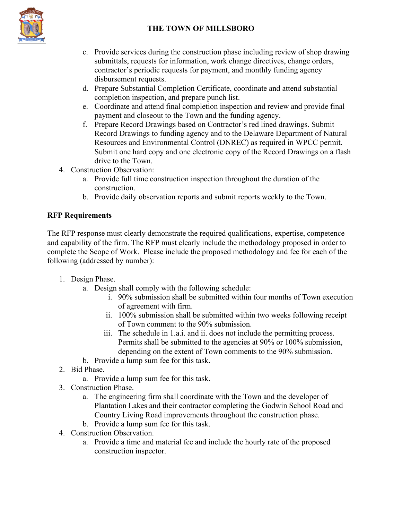

- c. Provide services during the construction phase including review of shop drawing submittals, requests for information, work change directives, change orders, contractor's periodic requests for payment, and monthly funding agency disbursement requests.
- d. Prepare Substantial Completion Certificate, coordinate and attend substantial completion inspection, and prepare punch list.
- e. Coordinate and attend final completion inspection and review and provide final payment and closeout to the Town and the funding agency.
- f. Prepare Record Drawings based on Contractor's red lined drawings. Submit Record Drawings to funding agency and to the Delaware Department of Natural Resources and Environmental Control (DNREC) as required in WPCC permit. Submit one hard copy and one electronic copy of the Record Drawings on a flash drive to the Town.
- 4. Construction Observation:
	- a. Provide full time construction inspection throughout the duration of the construction.
	- b. Provide daily observation reports and submit reports weekly to the Town.

## **RFP Requirements**

The RFP response must clearly demonstrate the required qualifications, expertise, competence and capability of the firm. The RFP must clearly include the methodology proposed in order to complete the Scope of Work. Please include the proposed methodology and fee for each of the following (addressed by number):

- 1. Design Phase.
	- a. Design shall comply with the following schedule:
		- i. 90% submission shall be submitted within four months of Town execution of agreement with firm.
		- ii. 100% submission shall be submitted within two weeks following receipt of Town comment to the 90% submission.
		- iii. The schedule in 1.a.i. and ii. does not include the permitting process. Permits shall be submitted to the agencies at 90% or 100% submission, depending on the extent of Town comments to the 90% submission.
	- b. Provide a lump sum fee for this task.
- 2. Bid Phase.
	- a. Provide a lump sum fee for this task.
- 3. Construction Phase.
	- a. The engineering firm shall coordinate with the Town and the developer of Plantation Lakes and their contractor completing the Godwin School Road and Country Living Road improvements throughout the construction phase.
	- b. Provide a lump sum fee for this task.
- 4. Construction Observation.
	- a. Provide a time and material fee and include the hourly rate of the proposed construction inspector.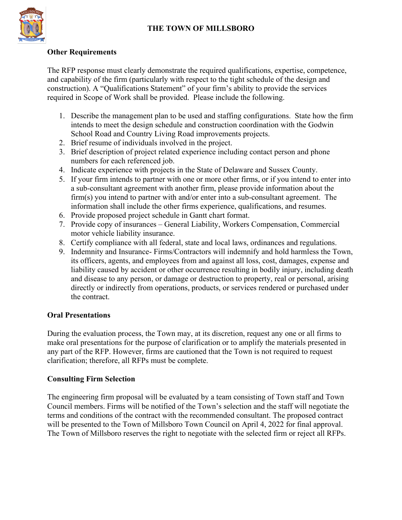

## **Other Requirements**

The RFP response must clearly demonstrate the required qualifications, expertise, competence, and capability of the firm (particularly with respect to the tight schedule of the design and construction). A "Qualifications Statement" of your firm's ability to provide the services required in Scope of Work shall be provided. Please include the following.

- 1. Describe the management plan to be used and staffing configurations. State how the firm intends to meet the design schedule and construction coordination with the Godwin School Road and Country Living Road improvements projects.
- 2. Brief resume of individuals involved in the project.
- 3. Brief description of project related experience including contact person and phone numbers for each referenced job.
- 4. Indicate experience with projects in the State of Delaware and Sussex County.
- 5. If your firm intends to partner with one or more other firms, or if you intend to enter into a sub-consultant agreement with another firm, please provide information about the firm(s) you intend to partner with and/or enter into a sub-consultant agreement. The information shall include the other firms experience, qualifications, and resumes.
- 6. Provide proposed project schedule in Gantt chart format.
- 7. Provide copy of insurances General Liability, Workers Compensation, Commercial motor vehicle liability insurance.
- 8. Certify compliance with all federal, state and local laws, ordinances and regulations.
- 9. Indemnity and Insurance- Firms/Contractors will indemnify and hold harmless the Town, its officers, agents, and employees from and against all loss, cost, damages, expense and liability caused by accident or other occurrence resulting in bodily injury, including death and disease to any person, or damage or destruction to property, real or personal, arising directly or indirectly from operations, products, or services rendered or purchased under the contract.

## **Oral Presentations**

During the evaluation process, the Town may, at its discretion, request any one or all firms to make oral presentations for the purpose of clarification or to amplify the materials presented in any part of the RFP. However, firms are cautioned that the Town is not required to request clarification; therefore, all RFPs must be complete.

## **Consulting Firm Selection**

The engineering firm proposal will be evaluated by a team consisting of Town staff and Town Council members. Firms will be notified of the Town's selection and the staff will negotiate the terms and conditions of the contract with the recommended consultant. The proposed contract will be presented to the Town of Millsboro Town Council on April 4, 2022 for final approval. The Town of Millsboro reserves the right to negotiate with the selected firm or reject all RFPs.